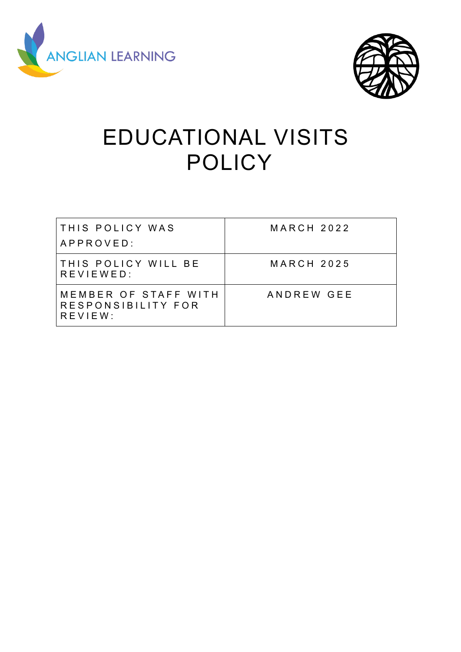



# EDUCATIONAL VISITS **POLICY**

| THIS POLICY WAS<br>APPROVED:                          | <b>MARCH 2022</b> |
|-------------------------------------------------------|-------------------|
| THIS POLICY WILL BE<br>REVIEWED:                      | <b>MARCH 2025</b> |
| MEMBER OF STAFF WITH<br>RESPONSIBILITY FOR<br>REVIEW: | ANDREW GEE        |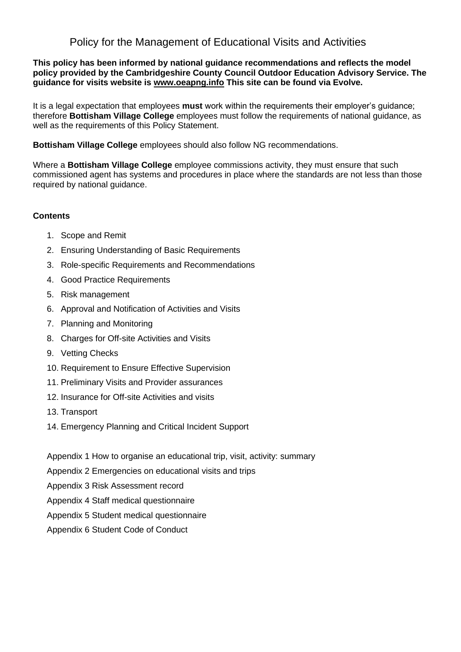### Policy for the Management of Educational Visits and Activities

### **This policy has been informed by national guidance recommendations and reflects the model policy provided by the Cambridgeshire County Council Outdoor Education Advisory Service. The guidance for visits website is [www.oeapng.info](http://www.oeapng.info/) This site can be found via Evolve.**

It is a legal expectation that employees **must** work within the requirements their employer's guidance; therefore **Bottisham Village College** employees must follow the requirements of national guidance, as well as the requirements of this Policy Statement.

**Bottisham Village College** employees should also follow NG recommendations.

Where a **Bottisham Village College** employee commissions activity, they must ensure that such commissioned agent has systems and procedures in place where the standards are not less than those required by national guidance.

### **Contents**

- 1. Scope and Remit
- 2. Ensuring Understanding of Basic Requirements
- 3. Role-specific Requirements and Recommendations
- 4. Good Practice Requirements
- 5. Risk management
- 6. Approval and Notification of Activities and Visits
- 7. Planning and Monitoring
- 8. Charges for Off-site Activities and Visits
- 9. Vetting Checks
- 10. Requirement to Ensure Effective Supervision
- 11. Preliminary Visits and Provider assurances
- 12. Insurance for Off-site Activities and visits
- 13. Transport
- 14. Emergency Planning and Critical Incident Support
- Appendix 1 How to organise an educational trip, visit, activity: summary
- Appendix 2 Emergencies on educational visits and trips
- Appendix 3 Risk Assessment record
- Appendix 4 Staff medical questionnaire
- Appendix 5 Student medical questionnaire
- Appendix 6 Student Code of Conduct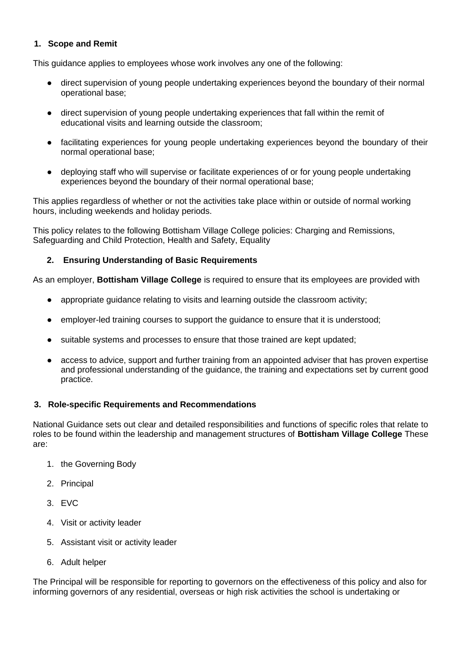### **1. Scope and Remit**

This guidance applies to employees whose work involves any one of the following:

- direct supervision of young people undertaking experiences beyond the boundary of their normal operational base;
- direct supervision of young people undertaking experiences that fall within the remit of educational visits and learning outside the classroom;
- facilitating experiences for young people undertaking experiences beyond the boundary of their normal operational base;
- deploying staff who will supervise or facilitate experiences of or for young people undertaking experiences beyond the boundary of their normal operational base;

This applies regardless of whether or not the activities take place within or outside of normal working hours, including weekends and holiday periods.

This policy relates to the following Bottisham Village College policies: Charging and Remissions, Safeguarding and Child Protection, Health and Safety, Equality

### **2. Ensuring Understanding of Basic Requirements**

As an employer, **Bottisham Village College** is required to ensure that its employees are provided with

- appropriate guidance relating to visits and learning outside the classroom activity;
- employer-led training courses to support the guidance to ensure that it is understood;
- suitable systems and processes to ensure that those trained are kept updated;
- access to advice, support and further training from an appointed adviser that has proven expertise and professional understanding of the guidance, the training and expectations set by current good practice.

### **3. Role-specific Requirements and Recommendations**

National Guidance sets out clear and detailed responsibilities and functions of specific roles that relate to roles to be found within the leadership and management structures of **Bottisham Village College** These are:

- 1. the Governing Body
- 2. Principal
- 3. EVC
- 4. Visit or activity leader
- 5. Assistant visit or activity leader
- 6. Adult helper

The Principal will be responsible for reporting to governors on the effectiveness of this policy and also for informing governors of any residential, overseas or high risk activities the school is undertaking or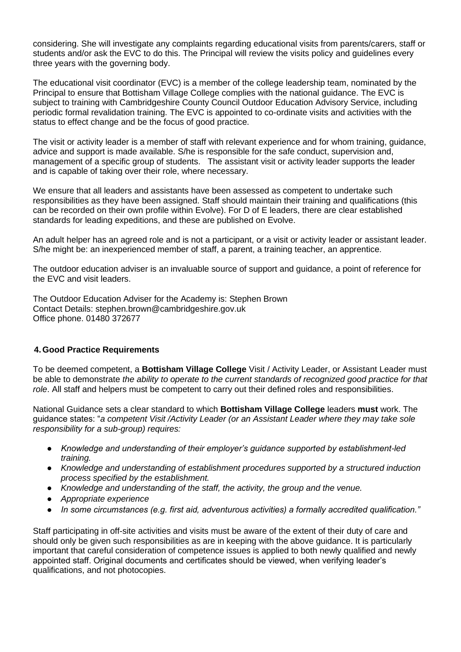considering. She will investigate any complaints regarding educational visits from parents/carers, staff or students and/or ask the EVC to do this. The Principal will review the visits policy and guidelines every three years with the governing body.

The educational visit coordinator (EVC) is a member of the college leadership team, nominated by the Principal to ensure that Bottisham Village College complies with the national guidance. The EVC is subject to training with Cambridgeshire County Council Outdoor Education Advisory Service, including periodic formal revalidation training. The EVC is appointed to co-ordinate visits and activities with the status to effect change and be the focus of good practice.

The visit or activity leader is a member of staff with relevant experience and for whom training, guidance, advice and support is made available. S/he is responsible for the safe conduct, supervision and, management of a specific group of students. The assistant visit or activity leader supports the leader and is capable of taking over their role, where necessary.

We ensure that all leaders and assistants have been assessed as competent to undertake such responsibilities as they have been assigned. Staff should maintain their training and qualifications (this can be recorded on their own profile within Evolve). For D of E leaders, there are clear established standards for leading expeditions, and these are published on Evolve.

An adult helper has an agreed role and is not a participant, or a visit or activity leader or assistant leader. S/he might be: an inexperienced member of staff, a parent, a training teacher, an apprentice.

The outdoor education adviser is an invaluable source of support and guidance, a point of reference for the EVC and visit leaders.

The Outdoor Education Adviser for the Academy is: Stephen Brown Contact Details: [stephen.brown@cambridgeshire.gov.uk](mailto:stephen.brown@cambridgeshire.gov.uk) Office phone. 01480 372677

### **4.Good Practice Requirements**

To be deemed competent, a **Bottisham Village College** Visit / Activity Leader, or Assistant Leader must be able to demonstrate *the ability to operate to the current standards of recognized good practice for that role*. All staff and helpers must be competent to carry out their defined roles and responsibilities.

National Guidance sets a clear standard to which **Bottisham Village College** leaders **must** work. The guidance states: "*a competent Visit /Activity Leader (or an Assistant Leader where they may take sole responsibility for a sub-group) requires:*

- *Knowledge and understanding of their employer's guidance supported by establishment-led training.*
- *Knowledge and understanding of establishment procedures supported by a structured induction process specified by the establishment.*
- *Knowledge and understanding of the staff, the activity, the group and the venue.*
- *Appropriate experience*
- *In some circumstances (e.g. first aid, adventurous activities) a formally accredited qualification."*

Staff participating in off-site activities and visits must be aware of the extent of their duty of care and should only be given such responsibilities as are in keeping with the above guidance. It is particularly important that careful consideration of competence issues is applied to both newly qualified and newly appointed staff. Original documents and certificates should be viewed, when verifying leader's qualifications, and not photocopies.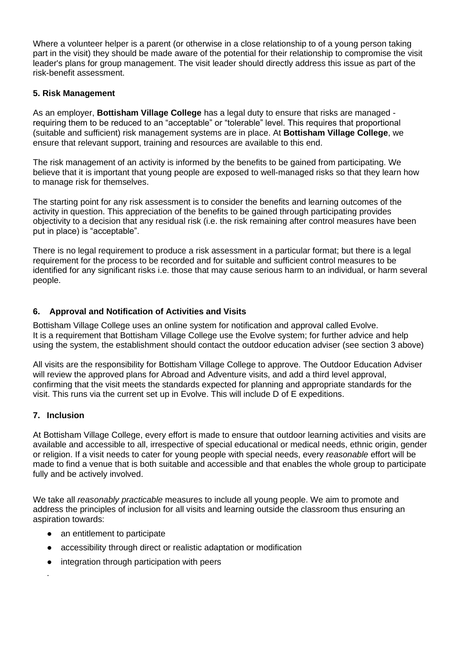Where a volunteer helper is a parent (or otherwise in a close relationship to of a young person taking part in the visit) they should be made aware of the potential for their relationship to compromise the visit leader's plans for group management. The visit leader should directly address this issue as part of the risk-benefit assessment.

### **5. Risk Management**

As an employer, **Bottisham Village College** has a legal duty to ensure that risks are managed requiring them to be reduced to an "acceptable" or "tolerable" level. This requires that proportional (suitable and sufficient) risk management systems are in place. At **Bottisham Village College**, we ensure that relevant support, training and resources are available to this end.

The risk management of an activity is informed by the benefits to be gained from participating. We believe that it is important that young people are exposed to well-managed risks so that they learn how to manage risk for themselves.

The starting point for any risk assessment is to consider the benefits and learning outcomes of the activity in question. This appreciation of the benefits to be gained through participating provides objectivity to a decision that any residual risk (i.e. the risk remaining after control measures have been put in place) is "acceptable".

There is no legal requirement to produce a risk assessment in a particular format; but there is a legal requirement for the process to be recorded and for suitable and sufficient control measures to be identified for any significant risks i.e. those that may cause serious harm to an individual, or harm several people.

### **6. Approval and Notification of Activities and Visits**

Bottisham Village College uses an online system for notification and approval called Evolve. It is a requirement that Bottisham Village College use the Evolve system; for further advice and help using the system, the establishment should contact the outdoor education adviser (see section 3 above)

All visits are the responsibility for Bottisham Village College to approve. The Outdoor Education Adviser will review the approved plans for Abroad and Adventure visits, and add a third level approval, confirming that the visit meets the standards expected for planning and appropriate standards for the visit. This runs via the current set up in Evolve. This will include D of E expeditions.

### **7. Inclusion**

At Bottisham Village College, every effort is made to ensure that outdoor learning activities and visits are available and accessible to all, irrespective of special educational or medical needs, ethnic origin, gender or religion. If a visit needs to cater for young people with special needs, every *reasonable* effort will be made to find a venue that is both suitable and accessible and that enables the whole group to participate fully and be actively involved.

We take all *reasonably practicable* measures to include all young people. We aim to promote and address the principles of inclusion for all visits and learning outside the classroom thus ensuring an aspiration towards:

- an entitlement to participate
- accessibility through direct or realistic adaptation or modification
- integration through participation with peers

∙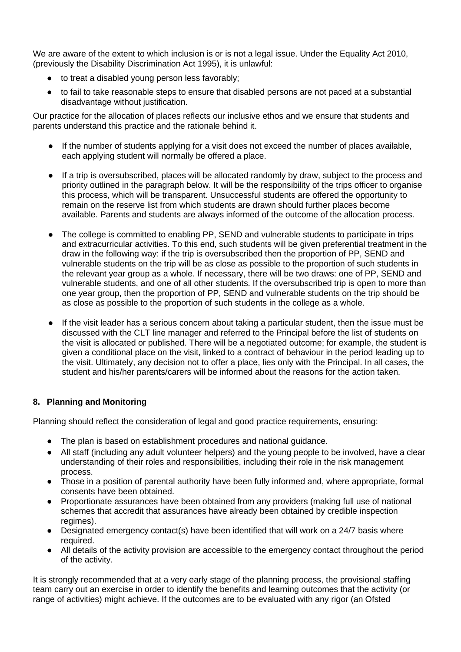We are aware of the extent to which inclusion is or is not a legal issue. Under the Equality Act 2010, (previously the Disability Discrimination Act 1995), it is unlawful:

- to treat a disabled young person less favorably;
- to fail to take reasonable steps to ensure that disabled persons are not paced at a substantial disadvantage without justification.

Our practice for the allocation of places reflects our inclusive ethos and we ensure that students and parents understand this practice and the rationale behind it.

- If the number of students applying for a visit does not exceed the number of places available, each applying student will normally be offered a place.
- If a trip is oversubscribed, places will be allocated randomly by draw, subject to the process and priority outlined in the paragraph below. It will be the responsibility of the trips officer to organise this process, which will be transparent. Unsuccessful students are offered the opportunity to remain on the reserve list from which students are drawn should further places become available. Parents and students are always informed of the outcome of the allocation process.
- The college is committed to enabling PP, SEND and vulnerable students to participate in trips and extracurricular activities. To this end, such students will be given preferential treatment in the draw in the following way: if the trip is oversubscribed then the proportion of PP, SEND and vulnerable students on the trip will be as close as possible to the proportion of such students in the relevant year group as a whole. If necessary, there will be two draws: one of PP, SEND and vulnerable students, and one of all other students. If the oversubscribed trip is open to more than one year group, then the proportion of PP, SEND and vulnerable students on the trip should be as close as possible to the proportion of such students in the college as a whole.
- If the visit leader has a serious concern about taking a particular student, then the issue must be discussed with the CLT line manager and referred to the Principal before the list of students on the visit is allocated or published. There will be a negotiated outcome; for example, the student is given a conditional place on the visit, linked to a contract of behaviour in the period leading up to the visit. Ultimately, any decision not to offer a place, lies only with the Principal. In all cases, the student and his/her parents/carers will be informed about the reasons for the action taken.

### **8. Planning and Monitoring**

Planning should reflect the consideration of legal and good practice requirements, ensuring:

- The plan is based on establishment procedures and national guidance.
- All staff (including any adult volunteer helpers) and the young people to be involved, have a clear understanding of their roles and responsibilities, including their role in the risk management process.
- Those in a position of parental authority have been fully informed and, where appropriate, formal consents have been obtained.
- Proportionate assurances have been obtained from any providers (making full use of national schemes that accredit that assurances have already been obtained by credible inspection regimes).
- $\bullet$  Designated emergency contact(s) have been identified that will work on a 24/7 basis where required.
- All details of the activity provision are accessible to the emergency contact throughout the period of the activity.

It is strongly recommended that at a very early stage of the planning process, the provisional staffing team carry out an exercise in order to identify the benefits and learning outcomes that the activity (or range of activities) might achieve. If the outcomes are to be evaluated with any rigor (an Ofsted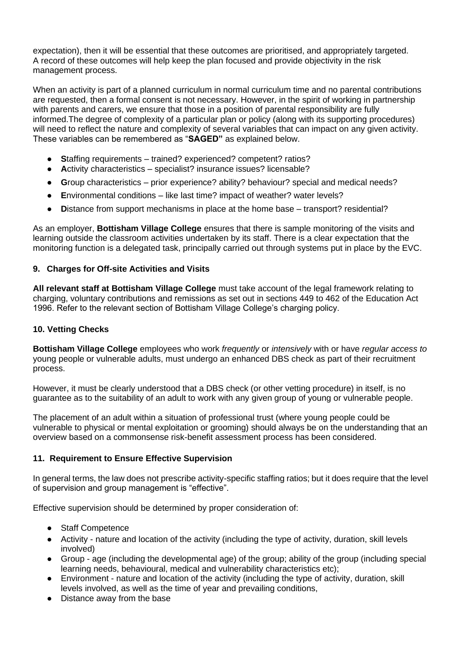expectation), then it will be essential that these outcomes are prioritised, and appropriately targeted. A record of these outcomes will help keep the plan focused and provide objectivity in the risk management process.

When an activity is part of a planned curriculum in normal curriculum time and no parental contributions are requested, then a formal consent is not necessary. However, in the spirit of working in partnership with parents and carers, we ensure that those in a position of parental responsibility are fully informed.The degree of complexity of a particular plan or policy (along with its supporting procedures) will need to reflect the nature and complexity of several variables that can impact on any given activity. These variables can be remembered as "**SAGED"** as explained below.

- **S**taffing requirements trained? experienced? competent? ratios?
- **A**ctivity characteristics specialist? insurance issues? licensable?
- **G**roup characteristics prior experience? ability? behaviour? special and medical needs?
- **E**nvironmental conditions like last time? impact of weather? water levels?
- **Distance from support mechanisms in place at the home base transport? residential?**

As an employer, **Bottisham Village College** ensures that there is sample monitoring of the visits and learning outside the classroom activities undertaken by its staff. There is a clear expectation that the monitoring function is a delegated task, principally carried out through systems put in place by the EVC.

### **9. Charges for Off-site Activities and Visits**

**All relevant staff at Bottisham Village College** must take account of the legal framework relating to charging, voluntary contributions and remissions as set out in sections 449 to 462 of the Education Act 1996. Refer to the relevant section of Bottisham Village College's charging policy.

### **10. Vetting Checks**

**Bottisham Village College** employees who work *frequently* or *intensively* with or have *regular access to*  young people or vulnerable adults, must undergo an enhanced DBS check as part of their recruitment process.

However, it must be clearly understood that a DBS check (or other vetting procedure) in itself, is no guarantee as to the suitability of an adult to work with any given group of young or vulnerable people.

The placement of an adult within a situation of professional trust (where young people could be vulnerable to physical or mental exploitation or grooming) should always be on the understanding that an overview based on a commonsense risk-benefit assessment process has been considered.

### **11. Requirement to Ensure Effective Supervision**

In general terms, the law does not prescribe activity-specific staffing ratios; but it does require that the level of supervision and group management is "effective".

Effective supervision should be determined by proper consideration of:

- Staff Competence
- Activity nature and location of the activity (including the type of activity, duration, skill levels involved)
- Group age (including the developmental age) of the group; ability of the group (including special learning needs, behavioural, medical and vulnerability characteristics etc);
- Environment nature and location of the activity (including the type of activity, duration, skill levels involved, as well as the time of year and prevailing conditions,
- Distance away from the base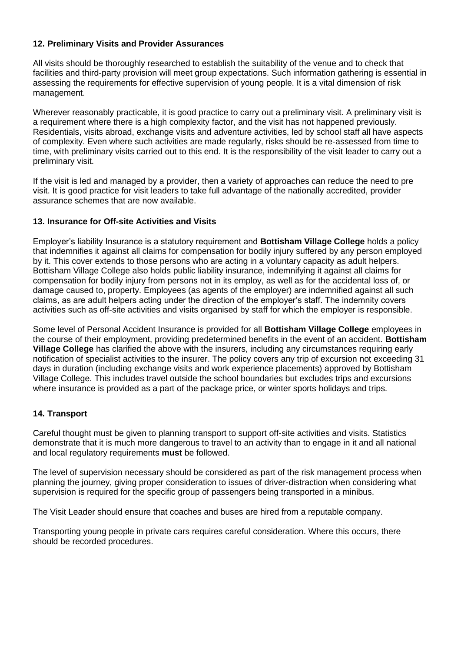### **12. Preliminary Visits and Provider Assurances**

All visits should be thoroughly researched to establish the suitability of the venue and to check that facilities and third-party provision will meet group expectations. Such information gathering is essential in assessing the requirements for effective supervision of young people. It is a vital dimension of risk management.

Wherever reasonably practicable, it is good practice to carry out a preliminary visit. A preliminary visit is a requirement where there is a high complexity factor, and the visit has not happened previously. Residentials, visits abroad, exchange visits and adventure activities, led by school staff all have aspects of complexity. Even where such activities are made regularly, risks should be re-assessed from time to time, with preliminary visits carried out to this end. It is the responsibility of the visit leader to carry out a preliminary visit.

If the visit is led and managed by a provider, then a variety of approaches can reduce the need to pre visit. It is good practice for visit leaders to take full advantage of the nationally accredited, provider assurance schemes that are now available.

### **13. Insurance for Off-site Activities and Visits**

Employer's liability Insurance is a statutory requirement and **Bottisham Village College** holds a policy that indemnifies it against all claims for compensation for bodily injury suffered by any person employed by it. This cover extends to those persons who are acting in a voluntary capacity as adult helpers. Bottisham Village College also holds public liability insurance, indemnifying it against all claims for compensation for bodily injury from persons not in its employ, as well as for the accidental loss of, or damage caused to, property. Employees (as agents of the employer) are indemnified against all such claims, as are adult helpers acting under the direction of the employer's staff. The indemnity covers activities such as off-site activities and visits organised by staff for which the employer is responsible.

Some level of Personal Accident Insurance is provided for all **Bottisham Village College** employees in the course of their employment, providing predetermined benefits in the event of an accident. **Bottisham Village College** has clarified the above with the insurers, including any circumstances requiring early notification of specialist activities to the insurer. The policy covers any trip of excursion not exceeding 31 days in duration (including exchange visits and work experience placements) approved by Bottisham Village College. This includes travel outside the school boundaries but excludes trips and excursions where insurance is provided as a part of the package price, or winter sports holidays and trips.

### **14. Transport**

Careful thought must be given to planning transport to support off-site activities and visits. Statistics demonstrate that it is much more dangerous to travel to an activity than to engage in it and all national and local regulatory requirements **must** be followed.

The level of supervision necessary should be considered as part of the risk management process when planning the journey, giving proper consideration to issues of driver-distraction when considering what supervision is required for the specific group of passengers being transported in a minibus.

The Visit Leader should ensure that coaches and buses are hired from a reputable company.

Transporting young people in private cars requires careful consideration. Where this occurs, there should be recorded procedures.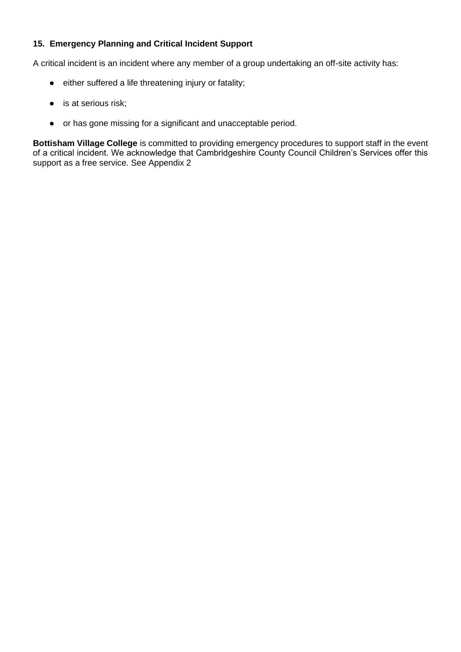### **15. Emergency Planning and Critical Incident Support**

A critical incident is an incident where any member of a group undertaking an off-site activity has:

- either suffered a life threatening injury or fatality;
- is at serious risk;
- or has gone missing for a significant and unacceptable period.

**Bottisham Village College** is committed to providing emergency procedures to support staff in the event of a critical incident. We acknowledge that Cambridgeshire County Council Children's Services offer this support as a free service. See Appendix 2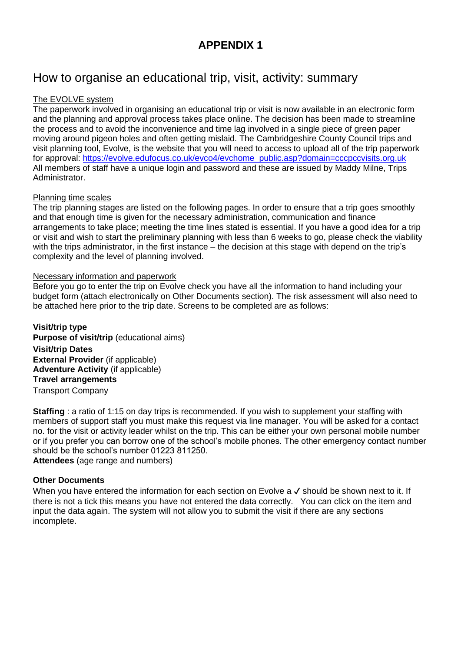# How to organise an educational trip, visit, activity: summary

### The EVOLVE system

The paperwork involved in organising an educational trip or visit is now available in an electronic form and the planning and approval process takes place online. The decision has been made to streamline the process and to avoid the inconvenience and time lag involved in a single piece of green paper moving around pigeon holes and often getting mislaid. The Cambridgeshire County Council trips and visit planning tool, Evolve, is the website that you will need to access to upload all of the trip paperwork for approval: [https://evolve.edufocus.co.uk/evco4/evchome\\_public.asp?domain=cccpccvisits.org.uk](https://evolve.edufocus.co.uk/evco4/evchome_public.asp?domain=cccpccvisits.org.uk) All members of staff have a unique login and password and these are issued by Maddy Milne, Trips Administrator.

### Planning time scales

The trip planning stages are listed on the following pages. In order to ensure that a trip goes smoothly and that enough time is given for the necessary administration, communication and finance arrangements to take place; meeting the time lines stated is essential. If you have a good idea for a trip or visit and wish to start the preliminary planning with less than 6 weeks to go, please check the viability with the trips administrator, in the first instance – the decision at this stage with depend on the trip's complexity and the level of planning involved.

### Necessary information and paperwork

Before you go to enter the trip on Evolve check you have all the information to hand including your budget form (attach electronically on Other Documents section). The risk assessment will also need to be attached here prior to the trip date. Screens to be completed are as follows:

**Visit/trip type Purpose of visit/trip** (educational aims) **Visit/trip Dates External Provider** (if applicable) **Adventure Activity** (if applicable) **Travel arrangements** Transport Company

**Staffing** : a ratio of 1:15 on day trips is recommended. If you wish to supplement your staffing with members of support staff you must make this request via line manager. You will be asked for a contact no. for the visit or activity leader whilst on the trip. This can be either your own personal mobile number or if you prefer you can borrow one of the school's mobile phones. The other emergency contact number should be the school's number 01223 811250.

**Attendees** (age range and numbers)

### **Other Documents**

When you have entered the information for each section on Evolve a √ should be shown next to it. If there is not a tick this means you have not entered the data correctly. You can click on the item and input the data again. The system will not allow you to submit the visit if there are any sections incomplete.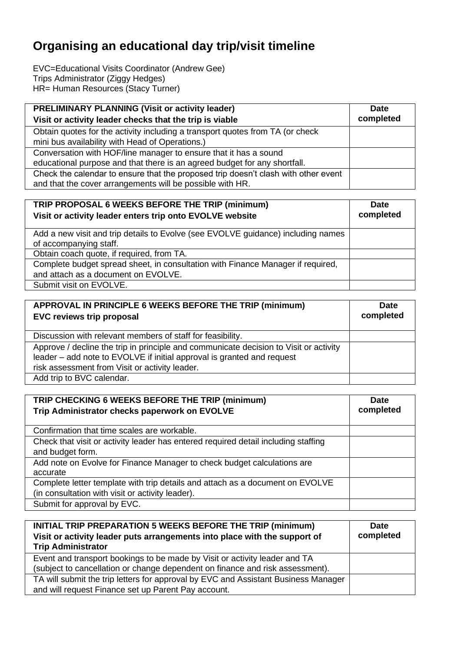# **Organising an educational day trip/visit timeline**

EVC=Educational Visits Coordinator (Andrew Gee) Trips Administrator (Ziggy Hedges) HR= Human Resources (Stacy Turner)

| <b>PRELIMINARY PLANNING (Visit or activity leader)</b>                             | <b>Date</b> |
|------------------------------------------------------------------------------------|-------------|
| Visit or activity leader checks that the trip is viable                            | completed   |
| Obtain quotes for the activity including a transport quotes from TA (or check      |             |
| mini bus availability with Head of Operations.)                                    |             |
| Conversation with HOF/line manager to ensure that it has a sound                   |             |
| educational purpose and that there is an agreed budget for any shortfall.          |             |
| Check the calendar to ensure that the proposed trip doesn't clash with other event |             |
| and that the cover arrangements will be possible with HR.                          |             |

| TRIP PROPOSAL 6 WEEKS BEFORE THE TRIP (minimum)<br>Visit or activity leader enters trip onto EVOLVE website | <b>Date</b><br>completed |
|-------------------------------------------------------------------------------------------------------------|--------------------------|
| Add a new visit and trip details to Evolve (see EVOLVE guidance) including names                            |                          |
| of accompanying staff.                                                                                      |                          |
| Obtain coach quote, if required, from TA.                                                                   |                          |
| Complete budget spread sheet, in consultation with Finance Manager if required,                             |                          |
| and attach as a document on EVOLVE.                                                                         |                          |
| Submit visit on EVOLVE.                                                                                     |                          |

| APPROVAL IN PRINCIPLE 6 WEEKS BEFORE THE TRIP (minimum)<br><b>EVC reviews trip proposal</b>                                                                                                                       | <b>Date</b><br>completed |
|-------------------------------------------------------------------------------------------------------------------------------------------------------------------------------------------------------------------|--------------------------|
| Discussion with relevant members of staff for feasibility.                                                                                                                                                        |                          |
| Approve / decline the trip in principle and communicate decision to Visit or activity<br>leader – add note to EVOLVE if initial approval is granted and request<br>risk assessment from Visit or activity leader. |                          |
| Add trip to BVC calendar.                                                                                                                                                                                         |                          |

| TRIP CHECKING 6 WEEKS BEFORE THE TRIP (minimum)<br>Trip Administrator checks paperwork on EVOLVE | Date<br>completed |
|--------------------------------------------------------------------------------------------------|-------------------|
| Confirmation that time scales are workable.                                                      |                   |
| Check that visit or activity leader has entered required detail including staffing               |                   |
| and budget form.                                                                                 |                   |
| Add note on Evolve for Finance Manager to check budget calculations are                          |                   |
| accurate                                                                                         |                   |
| Complete letter template with trip details and attach as a document on EVOLVE                    |                   |
| (in consultation with visit or activity leader).                                                 |                   |
| Submit for approval by EVC.                                                                      |                   |

| <b>INITIAL TRIP PREPARATION 5 WEEKS BEFORE THE TRIP (minimum)</b><br>Visit or activity leader puts arrangements into place with the support of<br><b>Trip Administrator</b> | <b>Date</b><br>completed |
|-----------------------------------------------------------------------------------------------------------------------------------------------------------------------------|--------------------------|
| Event and transport bookings to be made by Visit or activity leader and TA                                                                                                  |                          |
| (subject to cancellation or change dependent on finance and risk assessment).                                                                                               |                          |
| TA will submit the trip letters for approval by EVC and Assistant Business Manager                                                                                          |                          |
| and will request Finance set up Parent Pay account.                                                                                                                         |                          |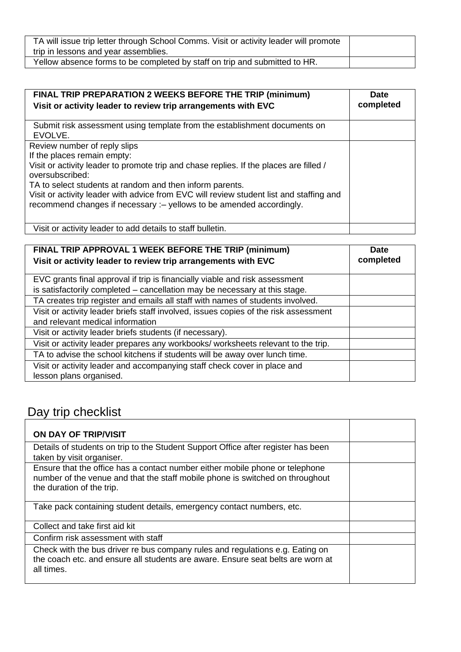| TA will issue trip letter through School Comms. Visit or activity leader will promote<br>trip in lessons and year assemblies. |  |
|-------------------------------------------------------------------------------------------------------------------------------|--|
| Yellow absence forms to be completed by staff on trip and submitted to HR.                                                    |  |

| FINAL TRIP PREPARATION 2 WEEKS BEFORE THE TRIP (minimum)<br>Visit or activity leader to review trip arrangements with EVC                                                                                                                                                                                                                                                                               | <b>Date</b><br>completed |
|---------------------------------------------------------------------------------------------------------------------------------------------------------------------------------------------------------------------------------------------------------------------------------------------------------------------------------------------------------------------------------------------------------|--------------------------|
| Submit risk assessment using template from the establishment documents on<br>EVOLVE.                                                                                                                                                                                                                                                                                                                    |                          |
| Review number of reply slips<br>If the places remain empty:<br>Visit or activity leader to promote trip and chase replies. If the places are filled /<br>oversubscribed:<br>TA to select students at random and then inform parents.<br>Visit or activity leader with advice from EVC will review student list and staffing and<br>recommend changes if necessary :- yellows to be amended accordingly. |                          |
| Visit or activity leader to add details to staff bulletin.                                                                                                                                                                                                                                                                                                                                              |                          |

| FINAL TRIP APPROVAL 1 WEEK BEFORE THE TRIP (minimum)<br>Visit or activity leader to review trip arrangements with EVC | <b>Date</b><br>completed |
|-----------------------------------------------------------------------------------------------------------------------|--------------------------|
| EVC grants final approval if trip is financially viable and risk assessment                                           |                          |
| is satisfactorily completed – cancellation may be necessary at this stage.                                            |                          |
| TA creates trip register and emails all staff with names of students involved.                                        |                          |
| Visit or activity leader briefs staff involved, issues copies of the risk assessment                                  |                          |
| and relevant medical information                                                                                      |                          |
| Visit or activity leader briefs students (if necessary).                                                              |                          |
| Visit or activity leader prepares any workbooks/ worksheets relevant to the trip.                                     |                          |
| TA to advise the school kitchens if students will be away over lunch time.                                            |                          |
| Visit or activity leader and accompanying staff check cover in place and                                              |                          |
| lesson plans organised.                                                                                               |                          |

# Day trip checklist

| ON DAY OF TRIP/VISIT                                                                                                                                                                       |  |
|--------------------------------------------------------------------------------------------------------------------------------------------------------------------------------------------|--|
| Details of students on trip to the Student Support Office after register has been<br>taken by visit organiser.                                                                             |  |
| Ensure that the office has a contact number either mobile phone or telephone<br>number of the venue and that the staff mobile phone is switched on throughout<br>the duration of the trip. |  |
| Take pack containing student details, emergency contact numbers, etc.                                                                                                                      |  |
| Collect and take first aid kit                                                                                                                                                             |  |
| Confirm risk assessment with staff                                                                                                                                                         |  |
| Check with the bus driver re bus company rules and regulations e.g. Eating on<br>the coach etc. and ensure all students are aware. Ensure seat belts are worn at<br>all times.             |  |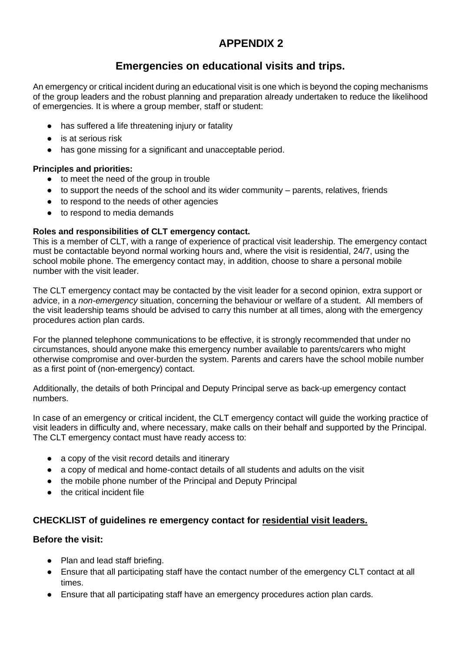### **Emergencies on educational visits and trips.**

An emergency or critical incident during an educational visit is one which is beyond the coping mechanisms of the group leaders and the robust planning and preparation already undertaken to reduce the likelihood of emergencies. It is where a group member, staff or student:

- has suffered a life threatening injury or fatality
- is at serious risk
- has gone missing for a significant and unacceptable period.

### **Principles and priorities:**

- to meet the need of the group in trouble
- to support the needs of the school and its wider community parents, relatives, friends
- to respond to the needs of other agencies
- to respond to media demands

### **Roles and responsibilities of CLT emergency contact.**

This is a member of CLT, with a range of experience of practical visit leadership. The emergency contact must be contactable beyond normal working hours and, where the visit is residential, 24/7, using the school mobile phone. The emergency contact may, in addition, choose to share a personal mobile number with the visit leader.

The CLT emergency contact may be contacted by the visit leader for a second opinion, extra support or advice, in a *non-emergency* situation, concerning the behaviour or welfare of a student. All members of the visit leadership teams should be advised to carry this number at all times, along with the emergency procedures action plan cards.

For the planned telephone communications to be effective, it is strongly recommended that under no circumstances, should anyone make this emergency number available to parents/carers who might otherwise compromise and over-burden the system. Parents and carers have the school mobile number as a first point of (non-emergency) contact.

Additionally, the details of both Principal and Deputy Principal serve as back-up emergency contact numbers.

In case of an emergency or critical incident, the CLT emergency contact will guide the working practice of visit leaders in difficulty and, where necessary, make calls on their behalf and supported by the Principal. The CLT emergency contact must have ready access to:

- a copy of the visit record details and itinerary
- a copy of medical and home-contact details of all students and adults on the visit
- the mobile phone number of the Principal and Deputy Principal
- the critical incident file

### **CHECKLIST of guidelines re emergency contact for residential visit leaders.**

### **Before the visit:**

- Plan and lead staff briefing.
- Ensure that all participating staff have the contact number of the emergency CLT contact at all times.
- Ensure that all participating staff have an emergency procedures action plan cards.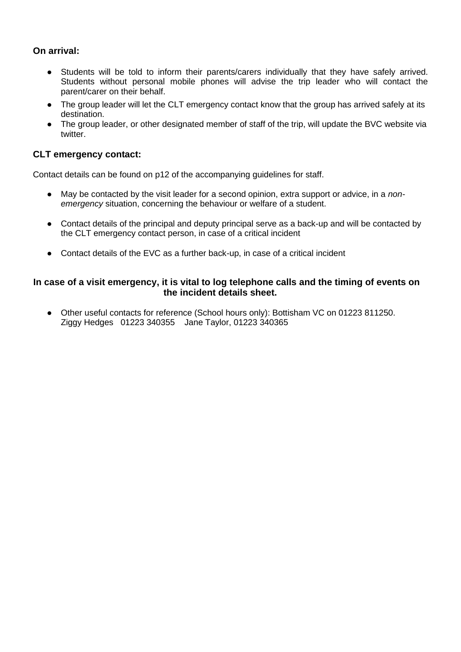### **On arrival:**

- Students will be told to inform their parents/carers individually that they have safely arrived. Students without personal mobile phones will advise the trip leader who will contact the parent/carer on their behalf.
- The group leader will let the CLT emergency contact know that the group has arrived safely at its destination.
- The group leader, or other designated member of staff of the trip, will update the BVC website via twitter.

### **CLT emergency contact:**

Contact details can be found on p12 of the accompanying guidelines for staff.

- May be contacted by the visit leader for a second opinion, extra support or advice, in a *nonemergency* situation, concerning the behaviour or welfare of a student.
- Contact details of the principal and deputy principal serve as a back-up and will be contacted by the CLT emergency contact person, in case of a critical incident
- Contact details of the EVC as a further back-up, in case of a critical incident

### **In case of a visit emergency, it is vital to log telephone calls and the timing of events on the incident details sheet.**

● Other useful contacts for reference (School hours only): Bottisham VC on 01223 811250. Ziggy Hedges 01223 340355 Jane Taylor, 01223 340365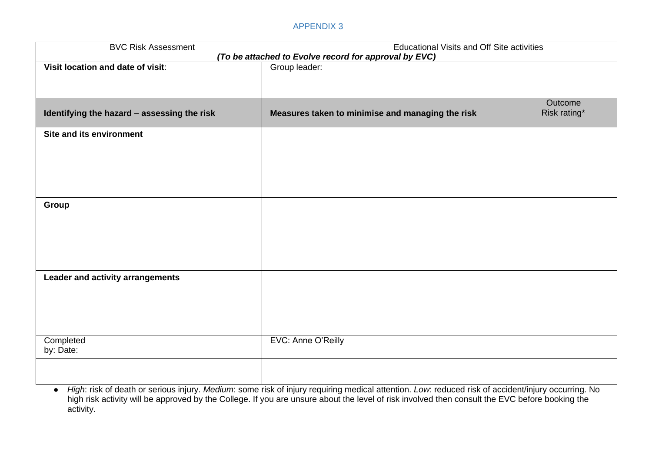| <b>BVC Risk Assessment</b>                  | <b>Educational Visits and Off Site activities</b>                      |                         |
|---------------------------------------------|------------------------------------------------------------------------|-------------------------|
| Visit location and date of visit:           | (To be attached to Evolve record for approval by EVC)<br>Group leader: |                         |
|                                             |                                                                        |                         |
|                                             |                                                                        |                         |
| Identifying the hazard - assessing the risk | Measures taken to minimise and managing the risk                       | Outcome<br>Risk rating* |
| <b>Site and its environment</b>             |                                                                        |                         |
|                                             |                                                                        |                         |
|                                             |                                                                        |                         |
|                                             |                                                                        |                         |
| Group                                       |                                                                        |                         |
|                                             |                                                                        |                         |
|                                             |                                                                        |                         |
|                                             |                                                                        |                         |
| Leader and activity arrangements            |                                                                        |                         |
|                                             |                                                                        |                         |
|                                             |                                                                        |                         |
|                                             |                                                                        |                         |
| Completed<br>by: Date:                      | EVC: Anne O'Reilly                                                     |                         |
|                                             |                                                                        |                         |
|                                             |                                                                        |                         |

● *High*: risk of death or serious injury. *Medium*: some risk of injury requiring medical attention. *Low*: reduced risk of accident/injury occurring. No high risk activity will be approved by the College. If you are unsure about the level of risk involved then consult the EVC before booking the activity.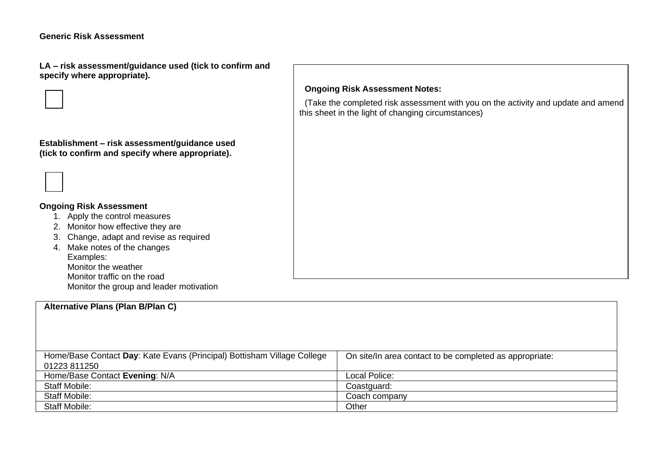**LA – risk assessment/guidance used (tick to confirm and specify where appropriate).**





### **Ongoing Risk Assessment**

- 1. Apply the control measures
- 2. Monitor how effective they are
- 3. Change, adapt and revise as required
- 4. Make notes of the changes Examples: Monitor the weather Monitor traffic on the road Monitor the group and leader motivation

### **Alternative Plans (Plan B/Plan C)**

### Home/Base Contact **Day**: Kate Evans (Principal) Bottisham Village College 01223 811250 On site/In area contact to be completed as appropriate: Home/Base Contact **Evening**: N/A Local Police: Staff Mobile: Coastguard: Coastguard: Staff Mobile: Coach company Staff Mobile: **Other Community Community Community** Community Community Community Community Community Community Community Community Community Community Community Community Community Community Community Community Community

### **Ongoing Risk Assessment Notes:**

(Take the completed risk assessment with you on the activity and update and amend this sheet in the light of changing circumstances)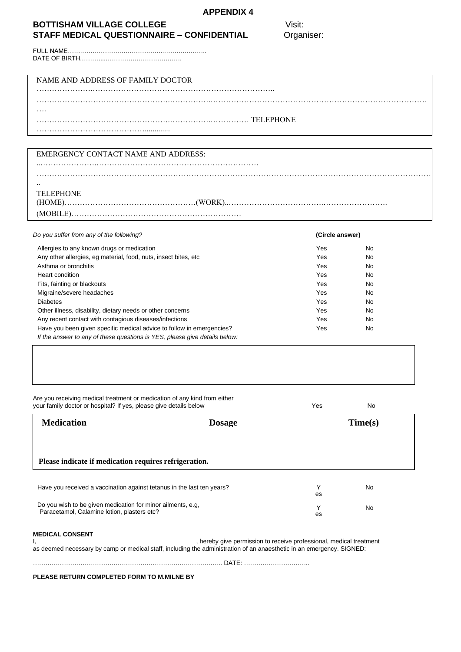### **BOTTISHAM VILLAGE COLLEGE** Visit: **STAFF MEDICAL QUESTIONNAIRE – CONFIDENTIAL** Organiser:

FULL NAME………………………………………..……….……….. DATE OF BIRTH.………...……………………………….

### NAME AND ADDRESS OF FAMILY DOCTOR

| . |  |
|---|--|
|   |  |
|   |  |

#### EMERGENCY CONTACT NAME AND ADDRESS:

..………………….………………………………………………………

| <b>TELEPHONE</b> |  |
|------------------|--|

| TELEPHONE |  |
|-----------|--|
|           |  |
|           |  |

………………………………………………………………………………………………………………………………………

### *Do you suffer from any of the following?* **(Circle answer)** Allergies to any known drugs or medication **No. 2018 No. 2018 No. 2018 No. 2019 No. 2019 No. 2019 No. 2019 No. 2019 No. 2019 No. 2019 No. 2019 No. 2019 No. 2019 No. 2019 No. 2019 No. 2019 No** Any other allergies, eg material, food, nuts, insect bites, etc **Wes** Yes No Asthma or bronchitis **No. 2018** No. 2018 No. 2019 No. 2019 No. 2019 No. 2019 No. 2019 No. 2019 No. 2019 No. 2019 No. 2019 No. 2019 No. 2019 No. 2019 No. 2019 No. 2019 No. 2019 No. 2019 No. 2019 No. 2019 No. 2019 No. 2019 N **Heart condition** No. 2008 **No. 2008** No. 2009 No. 2009 No. 2009 No. 2009 No. 2009 No. 2009 No. 2009 No. 2009 No. 2009 No. 2009 No. 2009 No. 2009 No. 2009 No. 2009 No. 2009 No. 2009 No. 2009 No. 2009 No. 2009 No. 2009 No. Fits, fainting or blackouts **Yes** No Migraine/severe headaches Yes No Diabetes Yes No Other illness, disability, dietary needs or other concerns **Wese No. 2018** Yes No. Any recent contact with contagious diseases/infections The North Contact With contagious diseases/infections The North Contact With Contact With contact with contact with contact of the set of the North Contact With Contac Have you been given specific medical advice to follow in emergencies? The Most Change of the Yes No *If the answer to any of these questions is YES, please give details below:*

| <b>Medication</b>                                                      | <b>Dosage</b> |         | Time(s)   |
|------------------------------------------------------------------------|---------------|---------|-----------|
|                                                                        |               |         |           |
| Please indicate if medication requires refrigeration.                  |               |         |           |
|                                                                        |               |         |           |
| Have you received a vaccination against tetanus in the last ten years? |               | Y<br>es | <b>No</b> |

……………………………………………………………………………….. DATE: …………………………..

**PLEASE RETURN COMPLETED FORM TO M.MILNE BY**

…………………………………………….…………….…………………………………………………………………………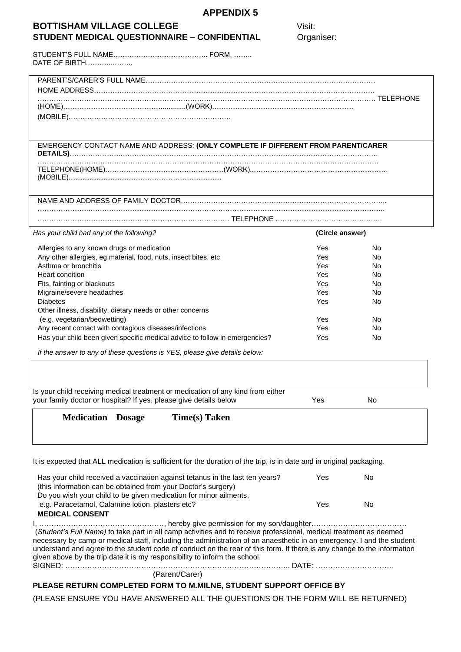| <b>APPENDIX 5</b>                                                                                                                                    |                 |           |
|------------------------------------------------------------------------------------------------------------------------------------------------------|-----------------|-----------|
| <b>BOTTISHAM VILLAGE COLLEGE</b>                                                                                                                     | Visit:          |           |
| <b>STUDENT MEDICAL QUESTIONNAIRE - CONFIDENTIAL</b>                                                                                                  | Organiser:      |           |
| DATE OF BIRTH                                                                                                                                        |                 |           |
|                                                                                                                                                      |                 |           |
|                                                                                                                                                      |                 |           |
|                                                                                                                                                      |                 |           |
| EMERGENCY CONTACT NAME AND ADDRESS: (ONLY COMPLETE IF DIFFERENT FROM PARENT/CARER                                                                    |                 |           |
|                                                                                                                                                      |                 |           |
|                                                                                                                                                      |                 |           |
|                                                                                                                                                      |                 |           |
| Has your child had any of the following?                                                                                                             | (Circle answer) |           |
| Allergies to any known drugs or medication                                                                                                           | Yes             | No.       |
| Any other allergies, eg material, food, nuts, insect bites, etc                                                                                      | Yes             | No.       |
| Asthma or bronchitis                                                                                                                                 | Yes             | No.       |
| <b>Heart condition</b>                                                                                                                               | Yes             | No.       |
| Fits, fainting or blackouts                                                                                                                          | Yes             | No.       |
| Migraine/severe headaches                                                                                                                            | Yes             | No.       |
| <b>Diabetes</b>                                                                                                                                      | Yes             | No.       |
| Other illness, disability, dietary needs or other concerns                                                                                           |                 |           |
| (e.g. vegetarian/bedwetting)                                                                                                                         | Yes             | No.       |
| Any recent contact with contagious diseases/infections                                                                                               | Yes             | No.       |
| Has your child been given specific medical advice to follow in emergencies?                                                                          | Yes             | No        |
| If the answer to any of these questions is YES, please give details below:                                                                           |                 |           |
|                                                                                                                                                      |                 |           |
| Is your child receiving medical treatment or medication of any kind from either<br>your family doctor or hospital? If yes, please give details below | Yes             | <b>No</b> |
| <b>Medication Dosage</b><br><b>Time(s)</b> Taken                                                                                                     |                 |           |
|                                                                                                                                                      |                 |           |
| It is expected that ALL medication is sufficient for the duration of the trip, is in date and in original packaging.                                 |                 |           |
| Has your child received a vaccination against tetanus in the last ten years?<br>(this information can be obtained from your Doctor's surgery)        | Yes             | No        |
| Do you wish your child to be given medication for minor ailments,<br>e.g. Paracetamol, Calamine lotion, plasters etc?<br><b>MEDICAL CONSENT</b>      | Yes             | <b>No</b> |

I, ……………………………………………, hereby give permission for my son/daughter………………………………… (*Student's Full Name)* to take part in all camp activities and to receive professional, medical treatment as deemed necessary by camp or medical staff, including the administration of an anaesthetic in an emergency. I and the student understand and agree to the student code of conduct on the rear of this form. If there is any change to the information given above by the trip date it is my responsibility to inform the school. SIGNED: ……………………………………………………………………………….. DATE: …………………………..

(Parent/Carer)

### **PLEASE RETURN COMPLETED FORM TO M.MILNE, STUDENT SUPPORT OFFICE BY**

(PLEASE ENSURE YOU HAVE ANSWERED ALL THE QUESTIONS OR THE FORM WILL BE RETURNED)